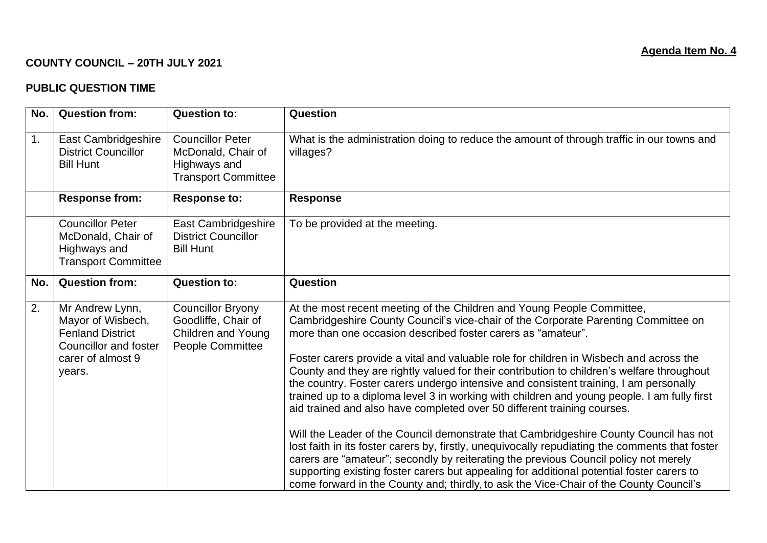## **COUNTY COUNCIL – 20TH JULY 2021**

## **PUBLIC QUESTION TIME**

| No.              | <b>Question from:</b>                                                                                                          | <b>Question to:</b>                                                                         | Question                                                                                                                                                                                                                                                                                                                                                                                                                                                                                                                                                                                                                                                                                                                                                                                                                                                                                                                                                                                                                                                                                                                                                           |
|------------------|--------------------------------------------------------------------------------------------------------------------------------|---------------------------------------------------------------------------------------------|--------------------------------------------------------------------------------------------------------------------------------------------------------------------------------------------------------------------------------------------------------------------------------------------------------------------------------------------------------------------------------------------------------------------------------------------------------------------------------------------------------------------------------------------------------------------------------------------------------------------------------------------------------------------------------------------------------------------------------------------------------------------------------------------------------------------------------------------------------------------------------------------------------------------------------------------------------------------------------------------------------------------------------------------------------------------------------------------------------------------------------------------------------------------|
| 1.               | East Cambridgeshire<br><b>District Councillor</b><br><b>Bill Hunt</b>                                                          | <b>Councillor Peter</b><br>McDonald, Chair of<br>Highways and<br><b>Transport Committee</b> | What is the administration doing to reduce the amount of through traffic in our towns and<br>villages?                                                                                                                                                                                                                                                                                                                                                                                                                                                                                                                                                                                                                                                                                                                                                                                                                                                                                                                                                                                                                                                             |
|                  | <b>Response from:</b>                                                                                                          | <b>Response to:</b>                                                                         | <b>Response</b>                                                                                                                                                                                                                                                                                                                                                                                                                                                                                                                                                                                                                                                                                                                                                                                                                                                                                                                                                                                                                                                                                                                                                    |
|                  | <b>Councillor Peter</b><br>McDonald, Chair of<br>Highways and<br><b>Transport Committee</b>                                    | East Cambridgeshire<br><b>District Councillor</b><br><b>Bill Hunt</b>                       | To be provided at the meeting.                                                                                                                                                                                                                                                                                                                                                                                                                                                                                                                                                                                                                                                                                                                                                                                                                                                                                                                                                                                                                                                                                                                                     |
| No.              | <b>Question from:</b>                                                                                                          | <b>Question to:</b>                                                                         | Question                                                                                                                                                                                                                                                                                                                                                                                                                                                                                                                                                                                                                                                                                                                                                                                                                                                                                                                                                                                                                                                                                                                                                           |
| $\overline{2}$ . | Mr Andrew Lynn,<br>Mayor of Wisbech,<br><b>Fenland District</b><br><b>Councillor and foster</b><br>carer of almost 9<br>years. | <b>Councillor Bryony</b><br>Goodliffe, Chair of<br>Children and Young<br>People Committee   | At the most recent meeting of the Children and Young People Committee,<br>Cambridgeshire County Council's vice-chair of the Corporate Parenting Committee on<br>more than one occasion described foster carers as "amateur".<br>Foster carers provide a vital and valuable role for children in Wisbech and across the<br>County and they are rightly valued for their contribution to children's welfare throughout<br>the country. Foster carers undergo intensive and consistent training, I am personally<br>trained up to a diploma level 3 in working with children and young people. I am fully first<br>aid trained and also have completed over 50 different training courses.<br>Will the Leader of the Council demonstrate that Cambridgeshire County Council has not<br>lost faith in its foster carers by, firstly, unequivocally repudiating the comments that foster<br>carers are "amateur"; secondly by reiterating the previous Council policy not merely<br>supporting existing foster carers but appealing for additional potential foster carers to<br>come forward in the County and; thirdly, to ask the Vice-Chair of the County Council's |